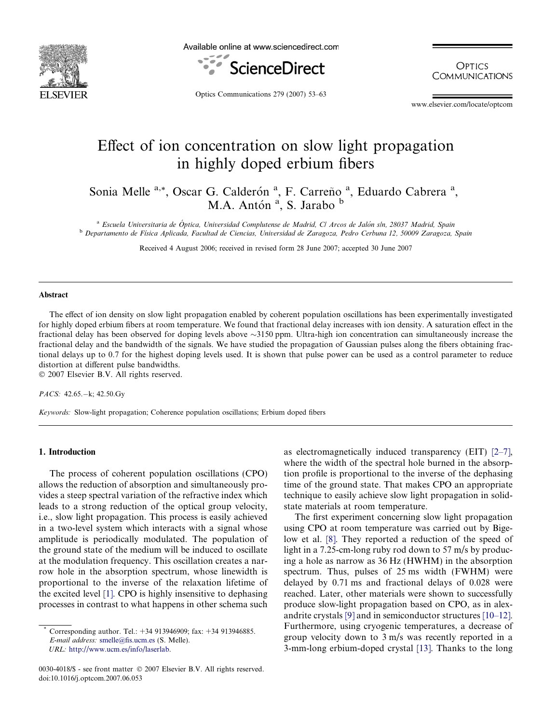

Available online at www.sciencedirect.com



**OPTICS COMMUNICATIONS** 

Optics Communications 279 (2007) 53–63

www.elsevier.com/locate/optcom

# Effect of ion concentration on slow light propagation in highly doped erbium fibers

Sonia Melle <sup>a,\*</sup>, Oscar G. Calderón<sup>a</sup>, F. Carreño<sup>a</sup>, Eduardo Cabrera<sup>a</sup>, M.A. Antón<sup>a</sup>, S. Jarabo b

<sup>a</sup> Escuela Universitaria de Óptica, Universidad Complutense de Madrid, Cl Arcos de Jalón s/n, 28037 Madrid, Spain <sup>b</sup> Departamento de Física Aplicada, Facultad de Ciencias, Universidad de Zaragoza, Pedro Cerbuna 12, 50009 Zaragoza, Spain

Received 4 August 2006; received in revised form 28 June 2007; accepted 30 June 2007

#### Abstract

The effect of ion density on slow light propagation enabled by coherent population oscillations has been experimentally investigated for highly doped erbium fibers at room temperature. We found that fractional delay increases with ion density. A saturation effect in the fractional delay has been observed for doping levels above  $\sim$ 3150 ppm. Ultra-high ion concentration can simultaneously increase the fractional delay and the bandwidth of the signals. We have studied the propagation of Gaussian pulses along the fibers obtaining fractional delays up to 0.7 for the highest doping levels used. It is shown that pulse power can be used as a control parameter to reduce distortion at different pulse bandwidths. © 2007 Elsevier B.V. All rights reserved.

PACS:  $42.65 - k$ ;  $42.50$ .Gy

Keywords: Slow-light propagation; Coherence population oscillations; Erbium doped fibers

#### 1. Introduction

The process of coherent population oscillations (CPO) allows the reduction of absorption and simultaneously provides a steep spectral variation of the refractive index which leads to a strong reduction of the optical group velocity, i.e., slow light propagation. This process is easily achieved in a two-level system which interacts with a signal whose amplitude is periodically modulated. The population of the ground state of the medium will be induced to oscillate at the modulation frequency. This oscillation creates a narrow hole in the absorption spectrum, whose linewidth is proportional to the inverse of the relaxation lifetime of the excited level [\[1\].](#page-10-0) CPO is highly insensitive to dephasing processes in contrast to what happens in other schema such

URL: [http://www.ucm.es/info/laserlab.](http://www.ucm.es/info/laserlab)

as electromagnetically induced transparency (EIT) [\[2–7\],](#page-10-0) where the width of the spectral hole burned in the absorption profile is proportional to the inverse of the dephasing time of the ground state. That makes CPO an appropriate technique to easily achieve slow light propagation in solidstate materials at room temperature.

The first experiment concerning slow light propagation using CPO at room temperature was carried out by Bigelow et al. [\[8\]](#page-10-0). They reported a reduction of the speed of light in a 7.25-cm-long ruby rod down to 57 m/s by producing a hole as narrow as 36 Hz (HWHM) in the absorption spectrum. Thus, pulses of 25 ms width (FWHM) were delayed by 0.71 ms and fractional delays of 0.028 were reached. Later, other materials were shown to successfully produce slow-light propagation based on CPO, as in alexandrite crystals [\[9\]](#page-10-0) and in semiconductor structures [\[10–12\].](#page-10-0) Furthermore, using cryogenic temperatures, a decrease of group velocity down to 3 m/s was recently reported in a 3-mm-long erbium-doped crystal [\[13\].](#page-10-0) Thanks to the long

Corresponding author. Tel.: +34 913946909; fax: +34 913946885. E-mail address: [smelle@fis.ucm.es](mailto:smelle@fis.ucm.es) (S. Melle).

<sup>0030-4018/\$ -</sup> see front matter © 2007 Elsevier B.V. All rights reserved. doi:10.1016/j.optcom.2007.06.053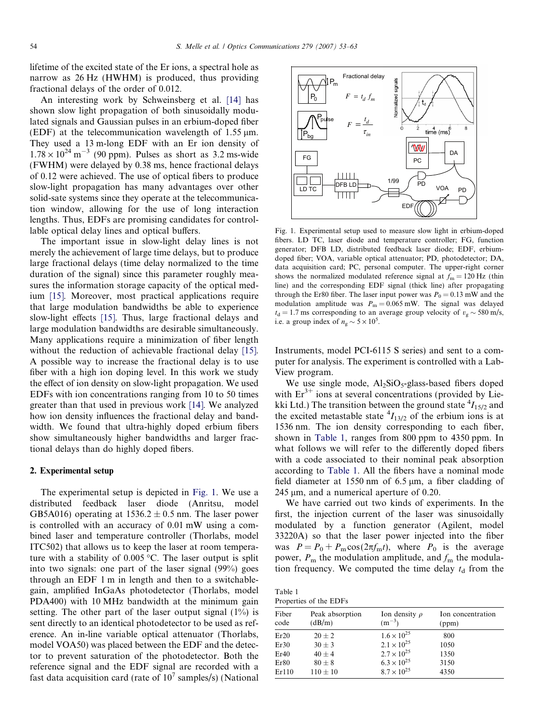<span id="page-1-0"></span>lifetime of the excited state of the Er ions, a spectral hole as narrow as 26 Hz (HWHM) is produced, thus providing fractional delays of the order of 0.012.

An interesting work by Schweinsberg et al. [\[14\]](#page-10-0) has shown slow light propagation of both sinusoidally modulated signals and Gaussian pulses in an erbium-doped fiber (EDF) at the telecommunication wavelength of  $1.55 \text{ µm}$ . They used a 13 m-long EDF with an Er ion density of  $1.78 \times 10^{24}$  m<sup>-3</sup> (90 ppm). Pulses as short as 3.2 ms-wide (FWHM) were delayed by 0.38 ms, hence fractional delays of 0.12 were achieved. The use of optical fibers to produce slow-light propagation has many advantages over other solid-sate systems since they operate at the telecommunication window, allowing for the use of long interaction lengths. Thus, EDFs are promising candidates for controllable optical delay lines and optical buffers.

The important issue in slow-light delay lines is not merely the achievement of large time delays, but to produce large fractional delays (time delay normalized to the time duration of the signal) since this parameter roughly measures the information storage capacity of the optical medium [\[15\].](#page-10-0) Moreover, most practical applications require that large modulation bandwidths be able to experience slow-light effects [\[15\]](#page-10-0). Thus, large fractional delays and large modulation bandwidths are desirable simultaneously. Many applications require a minimization of fiber length without the reduction of achievable fractional delay [\[15\]](#page-10-0). A possible way to increase the fractional delay is to use fiber with a high ion doping level. In this work we study the effect of ion density on slow-light propagation. We used EDFs with ion concentrations ranging from 10 to 50 times greater than that used in previous work [\[14\].](#page-10-0) We analyzed how ion density influences the fractional delay and bandwidth. We found that ultra-highly doped erbium fibers show simultaneously higher bandwidths and larger fractional delays than do highly doped fibers.

### 2. Experimental setup

The experimental setup is depicted in Fig. 1. We use a distributed feedback laser diode (Anritsu, model GB5A016) operating at  $1536.2 \pm 0.5$  nm. The laser power is controlled with an accuracy of 0.01 mW using a combined laser and temperature controller (Thorlabs, model ITC502) that allows us to keep the laser at room temperature with a stability of  $0.005 \degree C$ . The laser output is split into two signals: one part of the laser signal (99%) goes through an EDF 1 m in length and then to a switchablegain, amplified InGaAs photodetector (Thorlabs, model PDA400) with 10 MHz bandwidth at the minimum gain setting. The other part of the laser output signal  $(1\%)$  is sent directly to an identical photodetector to be used as reference. An in-line variable optical attenuator (Thorlabs, model VOA50) was placed between the EDF and the detector to prevent saturation of the photodetector. Both the reference signal and the EDF signal are recorded with a fast data acquisition card (rate of  $10<sup>7</sup>$  samples/s) (National



Fig. 1. Experimental setup used to measure slow light in erbium-doped fibers. LD TC, laser diode and temperature controller; FG, function generator; DFB LD, distributed feedback laser diode; EDF, erbiumdoped fiber; VOA, variable optical attenuator; PD, photodetector; DA, data acquisition card; PC, personal computer. The upper-right corner shows the normalized modulated reference signal at  $f_m = 120$  Hz (thin line) and the corresponding EDF signal (thick line) after propagating through the Er80 fiber. The laser input power was  $P_0 = 0.13$  mW and the modulation amplitude was  $P_m = 0.065$  mW. The signal was delayed  $t<sub>d</sub> = 1.7$  ms corresponding to an average group velocity of  $v<sub>g</sub> \sim 580$  m/s, i.e. a group index of  $n_g \sim 5 \times 10^5$ .

Instruments, model PCI-6115 S series) and sent to a computer for analysis. The experiment is controlled with a Lab-View program.

We use single mode,  $Al_2SiO_5$ -glass-based fibers doped with  $Er^{3+}$  ions at several concentrations (provided by Liekki Ltd.) The transition between the ground state  ${}^{4}I_{15/2}$  and the excited metastable state  $^{4}I_{13/2}$  of the erbium ions is at 1536 nm. The ion density corresponding to each fiber, shown in Table 1, ranges from 800 ppm to 4350 ppm. In what follows we will refer to the differently doped fibers with a code associated to their nominal peak absorption according to Table 1. All the fibers have a nominal mode field diameter at 1550 nm of  $6.5 \mu m$ , a fiber cladding of  $245 \mu m$ , and a numerical aperture of 0.20.

We have carried out two kinds of experiments. In the first, the injection current of the laser was sinusoidally modulated by a function generator (Agilent, model 33220A) so that the laser power injected into the fiber was  $P = P_0 + P_m \cos(2\pi f_m t)$ , where  $P_0$  is the average power,  $P_m$  the modulation amplitude, and  $f_m$  the modulation frequency. We computed the time delay  $t_d$  from the

| Table 1                |  |
|------------------------|--|
| Properties of the EDFs |  |

| Fiber<br>code | Peak absorption<br>(dB/m) | Ion density $\rho$<br>$(m^{-3})$ | Ion concentration<br>(ppm) |
|---------------|---------------------------|----------------------------------|----------------------------|
| Er20          | $20 + 2$                  | $1.6 \times 10^{25}$             | 800                        |
| Er30          | $30 \pm 3$                | $2.1 \times 10^{25}$             | 1050                       |
| Er40          | $40 \pm 4$                | $2.7 \times 10^{25}$             | 1350                       |
| Er80          | $80 \pm 8$                | $6.3 \times 10^{25}$             | 3150                       |
| Er110         | $110 \pm 10$              | $8.7 \times 10^{25}$             | 4350                       |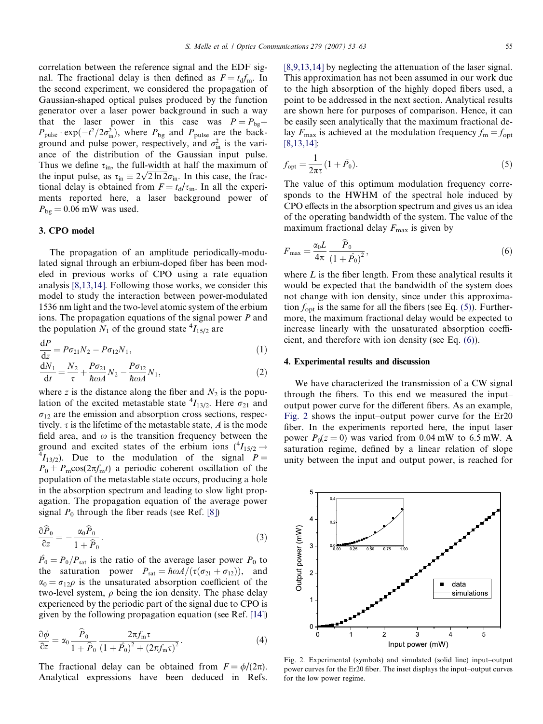<span id="page-2-0"></span>correlation between the reference signal and the EDF signal. The fractional delay is then defined as  $F = t_d f_m$ . In the second experiment, we considered the propagation of Gaussian-shaped optical pulses produced by the function generator over a laser power background in such a way that the laser power in this case was  $P = P_{\text{bg}} +$  $P_{\text{pulse}} \cdot \exp(-t^2/2\sigma_{\text{in}}^2)$ , where  $P_{\text{bg}}$  and  $P_{\text{pulse}}$  are the background and pulse power, respectively, and  $\sigma_{\text{in}}^2$  is the variance of the distribution of the Gaussian input pulse. Thus we define  $\tau_{\text{in}}$ , the full-width at half the maximum of Thus we define  $\tau_{\text{in}}$ , the full-width at half the maximum of the input pulse, as  $\tau_{\text{in}} \equiv 2\sqrt{2 \ln 2} \sigma_{\text{in}}$ . In this case, the fractional delay is obtained from  $F = t_d/\tau_{in}$ . In all the experiments reported here, a laser background power of  $P_{\text{bg}} = 0.06$  mW was used.

# 3. CPO model

The propagation of an amplitude periodically-modulated signal through an erbium-doped fiber has been modeled in previous works of CPO using a rate equation analysis [\[8,13,14\].](#page-10-0) Following those works, we consider this model to study the interaction between power-modulated 1536 nm light and the two-level atomic system of the erbium ions. The propagation equations of the signal power P and the population  $N_1$  of the ground state  ${}^4I_{15/2}$  are

$$
\frac{dP}{dz} = P\sigma_{21}N_2 - P\sigma_{12}N_1,\tag{1}
$$

$$
\frac{dN_1}{dt} = \frac{N_2}{\tau} + \frac{P\sigma_{21}}{\hbar \omega A} N_2 - \frac{P\sigma_{12}}{\hbar \omega A} N_1,\tag{2}
$$

where z is the distance along the fiber and  $N_2$  is the population of the excited metastable state  ${}^4I_{13/2}$ . Here  $\sigma_{21}$  and  $\sigma_{12}$  are the emission and absorption cross sections, respectively.  $\tau$  is the lifetime of the metastable state, A is the mode field area, and  $\omega$  is the transition frequency between the ground and excited states of the erbium ions  $({}^{4}I_{15/2} \rightarrow {}^{4}I_{16/2})$ . Due to the modulation of the signal  $P \frac{4}{13}{13}$ . Due to the modulation of the signal  $P =$  $P_0 + P_m \cos(2\pi f_m t)$  a periodic coherent oscillation of the population of the metastable state occurs, producing a hole in the absorption spectrum and leading to slow light propagation. The propagation equation of the average power signal  $P_0$  through the fiber reads (see Ref. [\[8\]\)](#page-10-0)

$$
\frac{\partial \widehat{P}_0}{\partial z} = -\frac{\alpha_0 \widehat{P}_0}{1 + \widehat{P}_0}.
$$
\n(3)

 $\hat{P}_0 = P_0/P_{\text{sat}}$  is the ratio of the average laser power  $P_0$  to the saturation power  $P_{\text{sat}} = \hbar \omega A / (\tau (\sigma_{21} + \sigma_{12}))$ , and  $\alpha_0 = \sigma_{12}\rho$  is the unsaturated absorption coefficient of the two-level system,  $\rho$  being the ion density. The phase delay experienced by the periodic part of the signal due to CPO is given by the following propagation equation (see Ref. [\[14\]](#page-10-0))

$$
\frac{\partial \phi}{\partial z} = \alpha_0 \frac{\hat{P}_0}{1 + \hat{P}_0} \frac{2\pi f_m \tau}{\left(1 + \hat{P}_0\right)^2 + \left(2\pi f_m \tau\right)^2}.
$$
\n(4)

The fractional delay can be obtained from  $F = \phi/(2\pi)$ . Analytical expressions have been deduced in Refs.

[\[8,9,13,14\]](#page-10-0) by neglecting the attenuation of the laser signal. This approximation has not been assumed in our work due to the high absorption of the highly doped fibers used, a point to be addressed in the next section. Analytical results are shown here for purposes of comparison. Hence, it can be easily seen analytically that the maximum fractional delay  $F_{\text{max}}$  is achieved at the modulation frequency  $f_{\text{m}} = f_{\text{opt}}$ [\[8,13,14\]](#page-10-0):

$$
f_{\rm opt} = \frac{1}{2\pi\tau} (1 + \hat{P}_0).
$$
 (5)

The value of this optimum modulation frequency corresponds to the HWHM of the spectral hole induced by CPO effects in the absorption spectrum and gives us an idea of the operating bandwidth of the system. The value of the maximum fractional delay  $F_{\text{max}}$  is given by

$$
F_{\text{max}} = \frac{\alpha_0 L}{4\pi} \frac{\hat{P}_0}{\left(1 + \hat{P}_0\right)^2},\tag{6}
$$

where  $L$  is the fiber length. From these analytical results it would be expected that the bandwidth of the system does not change with ion density, since under this approximation  $f_{\text{opt}}$  is the same for all the fibers (see Eq. (5)). Furthermore, the maximum fractional delay would be expected to increase linearly with the unsaturated absorption coefficient, and therefore with ion density (see Eq. (6)).

#### 4. Experimental results and discussion

We have characterized the transmission of a CW signal through the fibers. To this end we measured the input– output power curve for the different fibers. As an example, Fig. 2 shows the input–output power curve for the Er20 fiber. In the experiments reported here, the input laser power  $P_0(z = 0)$  was varied from 0.04 mW to 6.5 mW. A saturation regime, defined by a linear relation of slope unity between the input and output power, is reached for



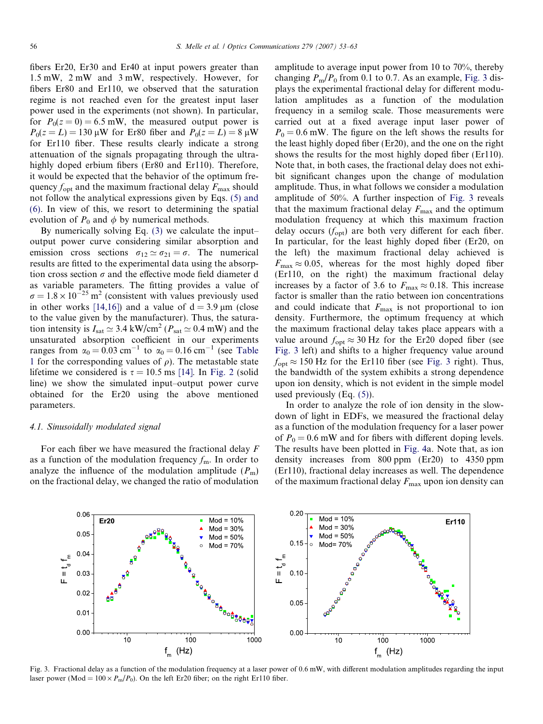<span id="page-3-0"></span>fibers Er20, Er30 and Er40 at input powers greater than 1.5 mW, 2 mW and 3 mW, respectively. However, for fibers Er80 and Er110, we observed that the saturation regime is not reached even for the greatest input laser power used in the experiments (not shown). In particular, for  $P_0(z=0) = 6.5$  mW, the measured output power is  $P_0(z = L) = 130 \,\mu\text{W}$  for Er80 fiber and  $P_0(z = L) = 8 \,\mu\text{W}$ for Er110 fiber. These results clearly indicate a strong attenuation of the signals propagating through the ultrahighly doped erbium fibers (Er80 and Er110). Therefore, it would be expected that the behavior of the optimum frequency  $f_{\text{opt}}$  and the maximum fractional delay  $F_{\text{max}}$  should not follow the analytical expressions given by Eqs. [\(5\) and](#page-2-0) [\(6\)](#page-2-0). In view of this, we resort to determining the spatial evolution of  $P_0$  and  $\phi$  by numerical methods.

By numerically solving Eq. [\(3\)](#page-2-0) we calculate the input– output power curve considering similar absorption and emission cross sections  $\sigma_{12} \simeq \sigma_{21} = \sigma$ . The numerical results are fitted to the experimental data using the absorption cross section  $\sigma$  and the effective mode field diameter d as variable parameters. The fitting provides a value of  $\sigma = 1.8 \times 10^{-25}$  m<sup>2</sup> (consistent with values previously used in other works [\[14,16\]\)](#page-10-0) and a value of  $d = 3.9 \text{ µm}$  (close to the value given by the manufacturer). Thus, the saturation intensity is  $I_{\text{sat}} \simeq 3.4 \text{ kW/cm}^2$  ( $P_{\text{sat}} \simeq 0.4 \text{ mW}$ ) and the unsaturated absorption coefficient in our experiments ranges from  $\alpha_0 = 0.03$  cm<sup>-1</sup> to  $\alpha_0 = 0.16$  cm<sup>-1</sup> (see [Table](#page-1-0) [1](#page-1-0) for the corresponding values of  $\rho$ ). The metastable state lifetime we considered is  $\tau = 10.5$  ms [\[14\]](#page-10-0). In [Fig. 2](#page-2-0) (solid line) we show the simulated input–output power curve obtained for the Er20 using the above mentioned parameters.

#### 4.1. Sinusoidally modulated signal

For each fiber we have measured the fractional delay  $F$ as a function of the modulation frequency  $f_m$ . In order to analyze the influence of the modulation amplitude  $(P_m)$ on the fractional delay, we changed the ratio of modulation

amplitude to average input power from 10 to 70%, thereby changing  $P_m/P_0$  from 0.1 to 0.7. As an example, Fig. 3 displays the experimental fractional delay for different modulation amplitudes as a function of the modulation frequency in a semilog scale. Those measurements were carried out at a fixed average input laser power of  $P_0 = 0.6$  mW. The figure on the left shows the results for the least highly doped fiber (Er20), and the one on the right shows the results for the most highly doped fiber (Er110). Note that, in both cases, the fractional delay does not exhibit significant changes upon the change of modulation amplitude. Thus, in what follows we consider a modulation amplitude of 50%. A further inspection of Fig. 3 reveals that the maximum fractional delay  $F_{\text{max}}$  and the optimum modulation frequency at which this maximum fraction delay occurs  $(f_{opt})$  are both very different for each fiber. In particular, for the least highly doped fiber (Er20, on the left) the maximum fractional delay achieved is  $F_{\text{max}} \approx 0.05$ , whereas for the most highly doped fiber (Er110, on the right) the maximum fractional delay increases by a factor of 3.6 to  $F_{\text{max}} \approx 0.18$ . This increase factor is smaller than the ratio between ion concentrations and could indicate that  $F_{\text{max}}$  is not proportional to ion density. Furthermore, the optimum frequency at which the maximum fractional delay takes place appears with a value around  $f_{\text{opt}} \approx 30 \text{ Hz}$  for the Er20 doped fiber (see Fig. 3 left) and shifts to a higher frequency value around  $f_{\text{opt}} \approx 150 \text{ Hz}$  for the Er110 fiber (see Fig. 3 right). Thus, the bandwidth of the system exhibits a strong dependence upon ion density, which is not evident in the simple model used previously (Eq. [\(5\)\)](#page-2-0).

In order to analyze the role of ion density in the slowdown of light in EDFs, we measured the fractional delay as a function of the modulation frequency for a laser power of  $P_0 = 0.6$  mW and for fibers with different doping levels. The results have been plotted in [Fig. 4](#page-4-0)a. Note that, as ion density increases from 800 ppm (Er20) to 4350 ppm (Er110), fractional delay increases as well. The dependence of the maximum fractional delay  $F_{\text{max}}$  upon ion density can



Fig. 3. Fractional delay as a function of the modulation frequency at a laser power of 0.6 mW, with different modulation amplitudes regarding the input laser power (Mod =  $100 \times P_m/P_0$ ). On the left Er20 fiber; on the right Er110 fiber.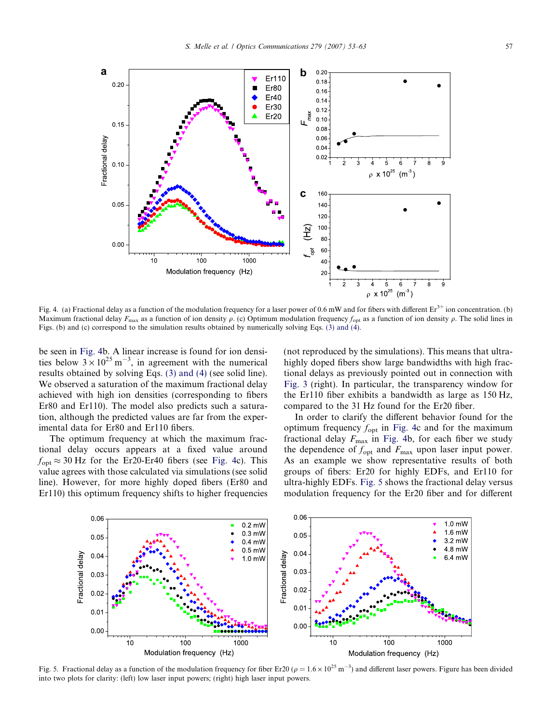<span id="page-4-0"></span>

Fig. 4. (a) Fractional delay as a function of the modulation frequency for a laser power of 0.6 mW and for fibers with different  $Er^{3+}$  ion concentration. (b) Maximum fractional delay  $F_{\text{max}}$  as a function of ion density  $\rho$ . (c) Optimum modulation frequency  $f_{\text{opt}}$  as a function of ion density  $\rho$ . The solid lines in Figs. (b) and (c) correspond to the simulation results obtained by numerically solving Eqs. [\(3\) and \(4\)](#page-2-0).

be seen in Fig. 4b. A linear increase is found for ion densities below  $3 \times 10^{25}$  m<sup>-3</sup>, in agreement with the numerical results obtained by solving Eqs. [\(3\) and \(4\)](#page-2-0) (see solid line). We observed a saturation of the maximum fractional delay achieved with high ion densities (corresponding to fibers Er80 and Er110). The model also predicts such a saturation, although the predicted values are far from the experimental data for Er80 and Er110 fibers.

The optimum frequency at which the maximum fractional delay occurs appears at a fixed value around  $f_{\text{opt}} \approx 30$  Hz for the Er20-Er40 fibers (see Fig. 4c). This value agrees with those calculated via simulations (see solid line). However, for more highly doped fibers (Er80 and Er110) this optimum frequency shifts to higher frequencies (not reproduced by the simulations). This means that ultrahighly doped fibers show large bandwidths with high fractional delays as previously pointed out in connection with [Fig. 3](#page-3-0) (right). In particular, the transparency window for the Er110 fiber exhibits a bandwidth as large as 150 Hz, compared to the 31 Hz found for the Er20 fiber.

In order to clarify the different behavior found for the optimum frequency  $f_{\text{opt}}$  in Fig. 4c and for the maximum fractional delay  $F_{\text{max}}$  in Fig. 4b, for each fiber we study the dependence of  $f_{\text{opt}}$  and  $F_{\text{max}}$  upon laser input power. As an example we show representative results of both groups of fibers: Er20 for highly EDFs, and Er110 for ultra-highly EDFs. Fig. 5 shows the fractional delay versus modulation frequency for the Er20 fiber and for different



Fig. 5. Fractional delay as a function of the modulation frequency for fiber Er20 ( $\rho = 1.6 \times 10^{25}$  m<sup>-3</sup>) and different laser powers. Figure has been divided into two plots for clarity: (left) low laser input powers; (right) high laser input powers.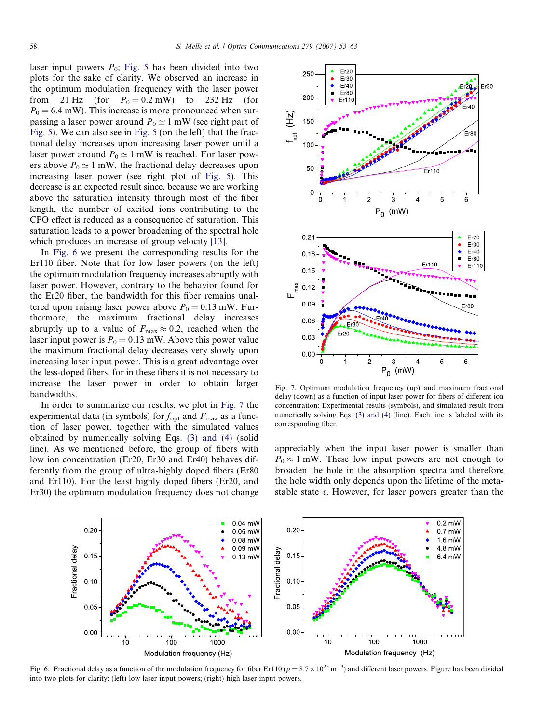<span id="page-5-0"></span>laser input powers  $P_0$ ; [Fig. 5](#page-4-0) has been divided into two plots for the sake of clarity. We observed an increase in the optimum modulation frequency with the laser power from 21 Hz (for  $P_0 = 0.2$  mW) to 232 Hz (for  $P_0 = 6.4$  mW). This increase is more pronounced when surpassing a laser power around  $P_0 \simeq 1$  mW (see right part of [Fig. 5\)](#page-4-0). We can also see in [Fig. 5](#page-4-0) (on the left) that the fractional delay increases upon increasing laser power until a laser power around  $P_0 \simeq 1$  mW is reached. For laser powers above  $P_0 \simeq 1$  mW, the fractional delay decreases upon increasing laser power (see right plot of [Fig. 5](#page-4-0)). This decrease is an expected result since, because we are working above the saturation intensity through most of the fiber length, the number of excited ions contributing to the CPO effect is reduced as a consequence of saturation. This saturation leads to a power broadening of the spectral hole which produces an increase of group velocity [\[13\].](#page-10-0)

In Fig. 6 we present the corresponding results for the Er110 fiber. Note that for low laser powers (on the left) the optimum modulation frequency increases abruptly with laser power. However, contrary to the behavior found for the Er20 fiber, the bandwidth for this fiber remains unaltered upon raising laser power above  $P_0 = 0.13$  mW. Furthermore, the maximum fractional delay increases abruptly up to a value of  $F_{\text{max}} \approx 0.2$ , reached when the laser input power is  $P_0 = 0.13$  mW. Above this power value the maximum fractional delay decreases very slowly upon increasing laser input power. This is a great advantage over the less-doped fibers, for in these fibers it is not necessary to increase the laser power in order to obtain larger bandwidths.

In order to summarize our results, we plot in Fig. 7 the experimental data (in symbols) for  $f_{\text{opt}}$  and  $F_{\text{max}}$  as a function of laser power, together with the simulated values obtained by numerically solving Eqs. [\(3\) and \(4\)](#page-2-0) (solid line). As we mentioned before, the group of fibers with low ion concentration (Er20, Er30 and Er40) behaves differently from the group of ultra-highly doped fibers (Er80 and Er110). For the least highly doped fibers (Er20, and Er30) the optimum modulation frequency does not change



Fig. 7. Optimum modulation frequency (up) and maximum fractional delay (down) as a function of input laser power for fibers of different ion concentration: Experimental results (symbols), and simulated result from numerically solving Eqs. [\(3\) and \(4\)](#page-2-0) (line). Each line is labeled with its corresponding fiber.

appreciably when the input laser power is smaller than  $P_0 \approx 1$  mW. These low input powers are not enough to broaden the hole in the absorption spectra and therefore the hole width only depends upon the lifetime of the metastable state  $\tau$ . However, for laser powers greater than the



Fig. 6. Fractional delay as a function of the modulation frequency for fiber Er110 ( $\rho = 8.7 \times 10^{25}$  m<sup>-3</sup>) and different laser powers. Figure has been divided into two plots for clarity: (left) low laser input powers; (right) high laser input powers.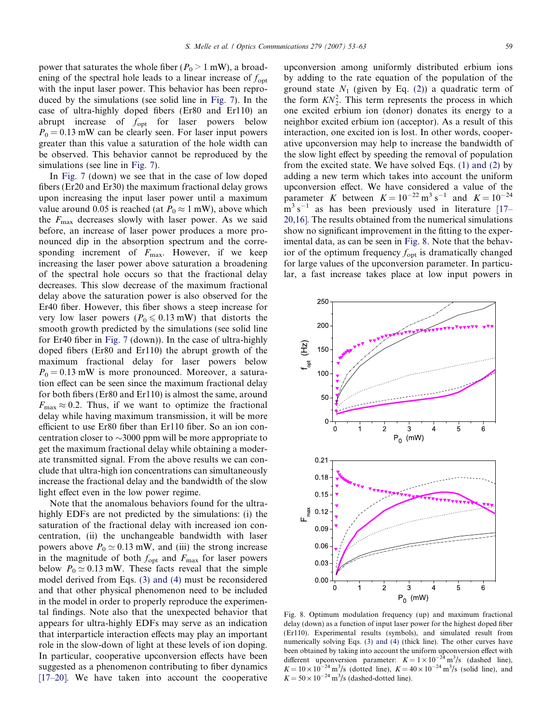power that saturates the whole fiber ( $P_0 > 1$  mW), a broadening of the spectral hole leads to a linear increase of  $f_{\text{opt}}$ with the input laser power. This behavior has been reproduced by the simulations (see solid line in [Fig. 7](#page-5-0)). In the case of ultra-highly doped fibers (Er80 and Er110) an abrupt increase of  $f_{\text{opt}}$  for laser powers below  $P_0 = 0.13$  mW can be clearly seen. For laser input powers greater than this value a saturation of the hole width can be observed. This behavior cannot be reproduced by the simulations (see line in [Fig. 7](#page-5-0)).

In [Fig. 7](#page-5-0) (down) we see that in the case of low doped fibers (Er20 and Er30) the maximum fractional delay grows upon increasing the input laser power until a maximum value around 0.05 is reached (at  $P_0 \approx 1$  mW), above which the  $F_{\text{max}}$  decreases slowly with laser power. As we said before, an increase of laser power produces a more pronounced dip in the absorption spectrum and the corresponding increment of  $F_{\text{max}}$ . However, if we keep increasing the laser power above saturation a broadening of the spectral hole occurs so that the fractional delay decreases. This slow decrease of the maximum fractional delay above the saturation power is also observed for the Er40 fiber. However, this fiber shows a steep increase for very low laser powers ( $P_0 \le 0.13$  mW) that distorts the smooth growth predicted by the simulations (see solid line for Er40 fiber in [Fig. 7](#page-5-0) (down)). In the case of ultra-highly doped fibers (Er80 and Er110) the abrupt growth of the maximum fractional delay for laser powers below  $P_0 = 0.13$  mW is more pronounced. Moreover, a saturation effect can be seen since the maximum fractional delay for both fibers (Er80 and Er110) is almost the same, around  $F_{\text{max}} \approx 0.2$ . Thus, if we want to optimize the fractional delay while having maximum transmission, it will be more efficient to use Er80 fiber than Er110 fiber. So an ion concentration closer to  ${\sim}3000$  ppm will be more appropriate to get the maximum fractional delay while obtaining a moderate transmitted signal. From the above results we can conclude that ultra-high ion concentrations can simultaneously increase the fractional delay and the bandwidth of the slow light effect even in the low power regime.

Note that the anomalous behaviors found for the ultrahighly EDFs are not predicted by the simulations: (i) the saturation of the fractional delay with increased ion concentration, (ii) the unchangeable bandwidth with laser powers above  $P_0 \simeq 0.13$  mW, and (iii) the strong increase in the magnitude of both  $f_{\text{opt}}$  and  $F_{\text{max}}$  for laser powers below  $P_0 \simeq 0.13$  mW. These facts reveal that the simple model derived from Eqs. [\(3\) and \(4\)](#page-2-0) must be reconsidered and that other physical phenomenon need to be included in the model in order to properly reproduce the experimental findings. Note also that the unexpected behavior that appears for ultra-highly EDFs may serve as an indication that interparticle interaction effects may play an important role in the slow-down of light at these levels of ion doping. In particular, cooperative upconversion effects have been suggested as a phenomenon contributing to fiber dynamics [\[17–20\].](#page-10-0) We have taken into account the cooperative

upconversion among uniformly distributed erbium ions by adding to the rate equation of the population of the ground state  $N_1$  (given by Eq. (2)) a quadratic term of the form  $KN_2^2$ . This term represents the process in which one excited erbium ion (donor) donates its energy to a neighbor excited erbium ion (acceptor). As a result of this interaction, one excited ion is lost. In other words, cooperative upconversion may help to increase the bandwidth of the slow light effect by speeding the removal of population from the excited state. We have solved Eqs. [\(1\) and \(2\)](#page-2-0) by adding a new term which takes into account the uniform upconversion effect. We have considered a value of the parameter K between  $K = 10^{-22} \text{ m}^3 \text{ s}^{-1}$  and  $K = 10^{-24}$  $\text{m}^3$  s<sup>-1</sup> as has been previously used in literature [17-[20,16\].](#page-10-0) The results obtained from the numerical simulations show no significant improvement in the fitting to the experimental data, as can be seen in Fig. 8. Note that the behavior of the optimum frequency  $f_{\text{opt}}$  is dramatically changed for large values of the upconversion parameter. In particular, a fast increase takes place at low input powers in



Fig. 8. Optimum modulation frequency (up) and maximum fractional delay (down) as a function of input laser power for the highest doped fiber (Er110). Experimental results (symbols), and simulated result from numerically solving Eqs. [\(3\) and \(4\)](#page-2-0) (thick line). The other curves have been obtained by taking into account the uniform upconversion effect with different upconversion parameter:  $K = 1 \times 10^{-24}$  m<sup>3</sup>/s (dashed line),  $K = 10 \times 10^{-24}$  m<sup>3</sup>/s (dotted line),  $K = 40 \times 10^{-24}$  m<sup>3</sup>/s (solid line), and  $K = 50 \times 10^{-24}$  m<sup>3</sup>/s (dashed-dotted line).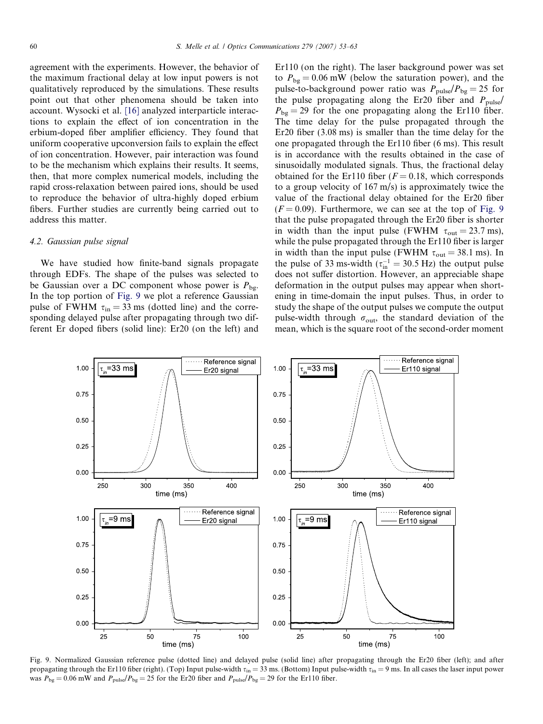<span id="page-7-0"></span>agreement with the experiments. However, the behavior of the maximum fractional delay at low input powers is not qualitatively reproduced by the simulations. These results point out that other phenomena should be taken into account. Wysocki et al. [\[16\]](#page-10-0) analyzed interparticle interactions to explain the effect of ion concentration in the erbium-doped fiber amplifier efficiency. They found that uniform cooperative upconversion fails to explain the effect of ion concentration. However, pair interaction was found to be the mechanism which explains their results. It seems, then, that more complex numerical models, including the rapid cross-relaxation between paired ions, should be used to reproduce the behavior of ultra-highly doped erbium fibers. Further studies are currently being carried out to address this matter.

### 4.2. Gaussian pulse signal

We have studied how finite-band signals propagate through EDFs. The shape of the pulses was selected to be Gaussian over a DC component whose power is  $P_{\text{bg}}$ . In the top portion of Fig. 9 we plot a reference Gaussian pulse of FWHM  $\tau_{\text{in}} = 33 \text{ ms}$  (dotted line) and the corresponding delayed pulse after propagating through two different Er doped fibers (solid line): Er20 (on the left) and Er110 (on the right). The laser background power was set to  $P_{\text{bg}} = 0.06$  mW (below the saturation power), and the pulse-to-background power ratio was  $P_{\text{pulse}}/P_{\text{bg}} = 25$  for the pulse propagating along the Er20 fiber and  $P_{\text{pulse}}$  $P_{\text{bg}} = 29$  for the one propagating along the Er110 fiber. The time delay for the pulse propagated through the Er20 fiber (3.08 ms) is smaller than the time delay for the one propagated through the Er110 fiber (6 ms). This result is in accordance with the results obtained in the case of sinusoidally modulated signals. Thus, the fractional delay obtained for the Er110 fiber ( $F = 0.18$ , which corresponds to a group velocity of 167 m/s) is approximately twice the value of the fractional delay obtained for the Er20 fiber  $(F = 0.09)$ . Furthermore, we can see at the top of Fig. 9 that the pulse propagated through the Er20 fiber is shorter in width than the input pulse (FWHM  $\tau_{\text{out}} = 23.7 \text{ ms}$ ), while the pulse propagated through the Er110 fiber is larger in width than the input pulse (FWHM  $\tau_{\text{out}} = 38.1 \text{ ms}$ ). In the pulse of 33 ms-width ( $\tau_{\text{in}}^{-1} = 30.5 \text{ Hz}$ ) the output pulse does not suffer distortion. However, an appreciable shape deformation in the output pulses may appear when shortening in time-domain the input pulses. Thus, in order to study the shape of the output pulses we compute the output pulse-width through  $\sigma_{\text{out}}$ , the standard deviation of the mean, which is the square root of the second-order moment



Fig. 9. Normalized Gaussian reference pulse (dotted line) and delayed pulse (solid line) after propagating through the Er20 fiber (left); and after propagating through the Er110 fiber (right). (Top) Input pulse-width  $\tau_{in} = 33$  ms. (Bottom) Input pulse-width  $\tau_{in} = 9$  ms. In all cases the laser input power was  $P_{bg} = 0.06$  mW and  $P_{pulse}/P_{bg} = 25$  for the Er20 fiber and  $P_{pulse}/P_{bg} = 29$  for the Er110 fiber.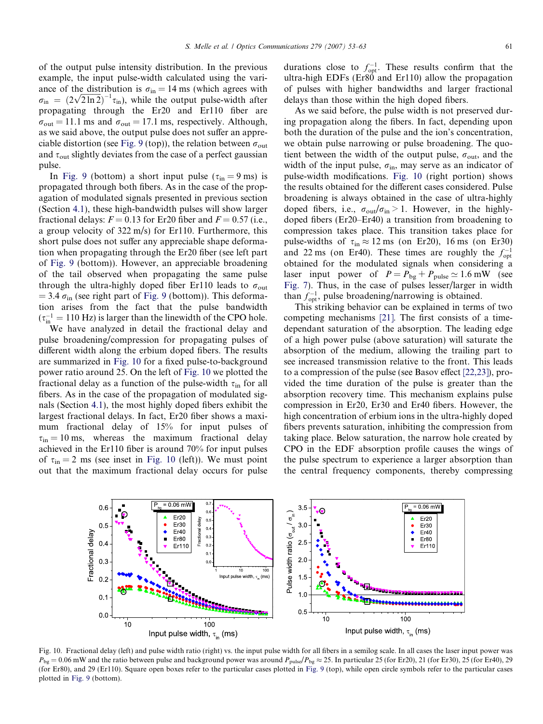of the output pulse intensity distribution. In the previous example, the input pulse-width calculated using the variance of the distribution is  $\sigma_{\text{in}} = 14 \text{ ms}$  (which agrees with ance of the distribution is  $\sigma_{\text{in}} = 14 \text{ ms}$  (which agrees with  $\sigma_{\text{in}} = (2\sqrt{2 \ln 2})^{-1} \tau_{\text{in}}$ ), while the output pulse-width after propagating through the Er20 and Er110 fiber are  $\sigma_{\text{out}} = 11.1$  ms and  $\sigma_{\text{out}} = 17.1$  ms, respectively. Although, as we said above, the output pulse does not suffer an appre-ciable distortion (see [Fig. 9](#page-7-0) (top)), the relation between  $\sigma_{\text{out}}$ and  $\tau_{\text{out}}$  slightly deviates from the case of a perfect gaussian pulse.

In [Fig. 9](#page-7-0) (bottom) a short input pulse ( $\tau_{in} = 9$  ms) is propagated through both fibers. As in the case of the propagation of modulated signals presented in previous section (Section [4.1\)](#page-3-0), these high-bandwidth pulses will show larger fractional delays:  $F = 0.13$  for Er20 fiber and  $F = 0.57$  (i.e., a group velocity of 322 m/s) for Er110. Furthermore, this short pulse does not suffer any appreciable shape deformation when propagating through the Er20 fiber (see left part of [Fig. 9](#page-7-0) (bottom)). However, an appreciable broadening of the tail observed when propagating the same pulse through the ultra-highly doped fiber Er110 leads to  $\sigma_{\text{out}}$  $= 3.4 \sigma_{\text{in}}$  (see right part of [Fig. 9](#page-7-0) (bottom)). This deformation arises from the fact that the pulse bandwidth  $(\tau_{\text{in}}^{-1} = 110 \text{ Hz})$  is larger than the linewidth of the CPO hole.

We have analyzed in detail the fractional delay and pulse broadening/compression for propagating pulses of different width along the erbium doped fibers. The results are summarized in Fig. 10 for a fixed pulse-to-background power ratio around 25. On the left of Fig. 10 we plotted the fractional delay as a function of the pulse-width  $\tau_{in}$  for all fibers. As in the case of the propagation of modulated signals (Section [4.1](#page-3-0)), the most highly doped fibers exhibit the largest fractional delays. In fact, Er20 fiber shows a maximum fractional delay of 15% for input pulses of  $\tau_{\text{in}} = 10 \text{ ms}$ , whereas the maximum fractional delay achieved in the Er110 fiber is around 70% for input pulses of  $\tau_{\text{in}} = 2$  ms (see inset in Fig. 10 (left)). We must point out that the maximum fractional delay occurs for pulse

durations close to  $f_{opt}^{-1}$ . These results confirm that the ultra-high EDFs (Er80 and Er110) allow the propagation of pulses with higher bandwidths and larger fractional delays than those within the high doped fibers.

As we said before, the pulse width is not preserved during propagation along the fibers. In fact, depending upon both the duration of the pulse and the ion's concentration, we obtain pulse narrowing or pulse broadening. The quotient between the width of the output pulse,  $\sigma_{\text{out}}$ , and the width of the input pulse,  $\sigma_{\text{in}}$ , may serve as an indicator of pulse-width modifications. Fig. 10 (right portion) shows the results obtained for the different cases considered. Pulse broadening is always obtained in the case of ultra-highly doped fibers, i.e.,  $\sigma_{\text{out}}/\sigma_{\text{in}} > 1$ . However, in the highlydoped fibers (Er20–Er40) a transition from broadening to compression takes place. This transition takes place for pulse-widths of  $\tau_{\text{in}} \approx 12 \text{ ms}$  (on Er20), 16 ms (on Er30) and 22 ms (on Er40). These times are roughly the  $f_{opt}^{-1}$ obtained for the modulated signals when considering a laser input power of  $P = P_{bg} + P_{pulse} \simeq 1.6$  mW (see [Fig. 7\)](#page-5-0). Thus, in the case of pulses lesser/larger in width than  $f_{\text{opt}}^{-1}$ , pulse broadening/narrowing is obtained.

This striking behavior can be explained in terms of two competing mechanisms [\[21\].](#page-10-0) The first consists of a timedependant saturation of the absorption. The leading edge of a high power pulse (above saturation) will saturate the absorption of the medium, allowing the trailing part to see increased transmission relative to the front. This leads to a compression of the pulse (see Basov effect [\[22,23\]\)](#page-10-0), provided the time duration of the pulse is greater than the absorption recovery time. This mechanism explains pulse compression in Er20, Er30 and Er40 fibers. However, the high concentration of erbium ions in the ultra-highly doped fibers prevents saturation, inhibiting the compression from taking place. Below saturation, the narrow hole created by CPO in the EDF absorption profile causes the wings of the pulse spectrum to experience a larger absorption than the central frequency components, thereby compressing



Fig. 10. Fractional delay (left) and pulse width ratio (right) vs. the input pulse width for all fibers in a semilog scale. In all cases the laser input power was  $P_{\text{bg}} = 0.06$  mW and the ratio between pulse and background power was around  $P_{\text{pulse}} \approx 25$ . In particular 25 (for Er20), 21 (for Er30), 25 (for Er40), 29 (for Er80), and 29 (Er110). Square open boxes refer to the particular cases plotted in [Fig. 9](#page-7-0) (top), while open circle symbols refer to the particular cases plotted in [Fig. 9](#page-7-0) (bottom).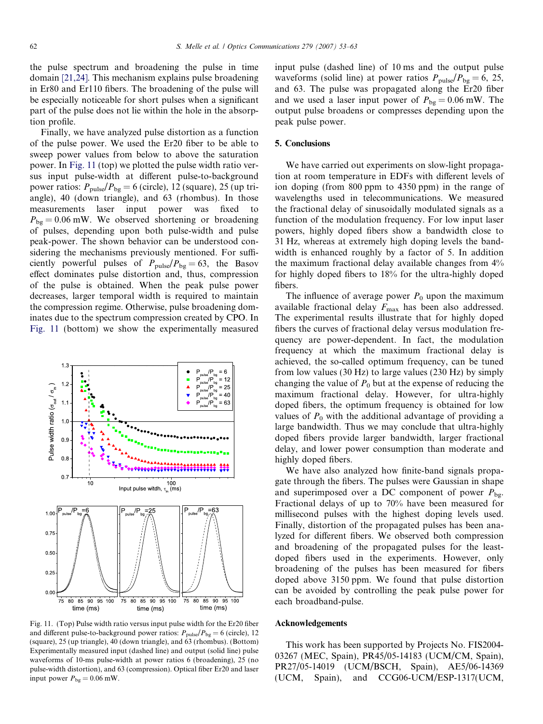the pulse spectrum and broadening the pulse in time domain [\[21,24\].](#page-10-0) This mechanism explains pulse broadening in Er80 and Er110 fibers. The broadening of the pulse will be especially noticeable for short pulses when a significant part of the pulse does not lie within the hole in the absorption profile.

Finally, we have analyzed pulse distortion as a function of the pulse power. We used the Er20 fiber to be able to sweep power values from below to above the saturation power. In Fig. 11 (top) we plotted the pulse width ratio versus input pulse-width at different pulse-to-background power ratios:  $P_{\text{pulse}}/P_{\text{bg}} = 6$  (circle), 12 (square), 25 (up triangle), 40 (down triangle), and 63 (rhombus). In those measurements laser input power was fixed to  $P_{\text{bg}} = 0.06$  mW. We observed shortening or broadening of pulses, depending upon both pulse-width and pulse peak-power. The shown behavior can be understood considering the mechanisms previously mentioned. For sufficiently powerful pulses of  $P_{\text{pulse}}/P_{\text{bg}} = 63$ , the Basov effect dominates pulse distortion and, thus, compression of the pulse is obtained. When the peak pulse power decreases, larger temporal width is required to maintain the compression regime. Otherwise, pulse broadening dominates due to the spectrum compression created by CPO. In Fig. 11 (bottom) we show the experimentally measured



Fig. 11. (Top) Pulse width ratio versus input pulse width for the Er20 fiber and different pulse-to-background power ratios:  $P_{\text{pulse}}/P_{\text{bg}} = 6$  (circle), 12 (square), 25 (up triangle), 40 (down triangle), and 63 (rhombus). (Bottom) Experimentally measured input (dashed line) and output (solid line) pulse waveforms of 10-ms pulse-width at power ratios 6 (broadening), 25 (no pulse-width distortion), and 63 (compression). Optical fiber Er20 and laser input power  $P_{bg} = 0.06$  mW.

input pulse (dashed line) of 10 ms and the output pulse waveforms (solid line) at power ratios  $P_{\text{pulse}}/P_{\text{bg}} = 6, 25,$ and 63. The pulse was propagated along the Er20 fiber and we used a laser input power of  $P_{bg} = 0.06$  mW. The output pulse broadens or compresses depending upon the peak pulse power.

### 5. Conclusions

We have carried out experiments on slow-light propagation at room temperature in EDFs with different levels of ion doping (from 800 ppm to 4350 ppm) in the range of wavelengths used in telecommunications. We measured the fractional delay of sinusoidally modulated signals as a function of the modulation frequency. For low input laser powers, highly doped fibers show a bandwidth close to 31 Hz, whereas at extremely high doping levels the bandwidth is enhanced roughly by a factor of 5. In addition the maximum fractional delay available changes from 4% for highly doped fibers to 18% for the ultra-highly doped fibers.

The influence of average power  $P_0$  upon the maximum available fractional delay  $F_{\text{max}}$  has been also addressed. The experimental results illustrate that for highly doped fibers the curves of fractional delay versus modulation frequency are power-dependent. In fact, the modulation frequency at which the maximum fractional delay is achieved, the so-called optimum frequency, can be tuned from low values (30 Hz) to large values (230 Hz) by simply changing the value of  $P_0$  but at the expense of reducing the maximum fractional delay. However, for ultra-highly doped fibers, the optimum frequency is obtained for low values of  $P_0$  with the additional advantage of providing a large bandwidth. Thus we may conclude that ultra-highly doped fibers provide larger bandwidth, larger fractional delay, and lower power consumption than moderate and highly doped fibers.

We have also analyzed how finite-band signals propagate through the fibers. The pulses were Gaussian in shape and superimposed over a DC component of power  $P_{\text{bg}}$ . Fractional delays of up to 70% have been measured for millisecond pulses with the highest doping levels used. Finally, distortion of the propagated pulses has been analyzed for different fibers. We observed both compression and broadening of the propagated pulses for the leastdoped fibers used in the experiments. However, only broadening of the pulses has been measured for fibers doped above 3150 ppm. We found that pulse distortion can be avoided by controlling the peak pulse power for each broadband-pulse.

## Acknowledgements

This work has been supported by Projects No. FIS2004- 03267 (MEC, Spain), PR45/05-14183 (UCM/CM, Spain), PR27/05-14019 (UCM/BSCH, Spain), AE5/06-14369 (UCM, Spain), and CCG06-UCM/ESP-1317(UCM,